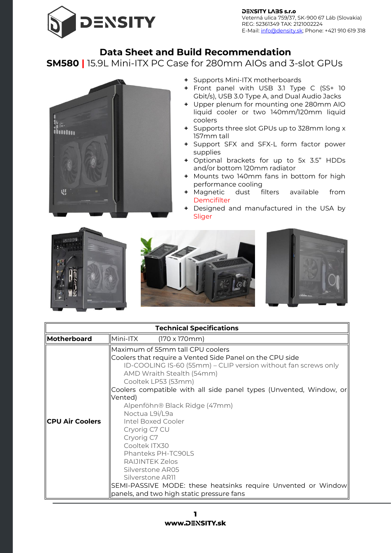

**DENSITY LABS s.r.o** Veterná ulica 759/37, SK-900 67 Láb (Slovakia)  $\text{ESIST}$   $\text{ESIT}$ REG: 52361349 TAX: 2121002224

## **Data Sheet and Build Recommendation**

**SM580 |** 15.9L Mini-ITX PC Case for 280mm AIOs and 3-slot GPUs



- **+** Supports Mini-ITX motherboards
- **+** Front panel with USB 3.1 Type C (SS+ 10 Gbit/s), USB 3.0 Type A, and Dual Audio Jacks
- **+** Upper plenum for mounting one 280mm AIO liquid cooler or two 140mm/120mm liquid coolers
- **+** Supports three slot GPUs up to 328mm long x 157mm tall
- **+** Support SFX and SFX-L form factor power supplies
- **+** Optional brackets for up to 5x 3.5" HDDs and/or bottom 120mm radiator
- **+** Mounts two 140mm fans in bottom for high performance cooling
- **+** Magnetic dust filters available from **[Demcifilter](https://www.density.sk/product-category/dust-filters/)**
- **+** Designed and manufactured in the USA by Sliger



| <b>Technical Specifications</b> |                                                                                                                                                                                                                                                                                                                                                                                                                                                                                                                                                                                                                             |  |
|---------------------------------|-----------------------------------------------------------------------------------------------------------------------------------------------------------------------------------------------------------------------------------------------------------------------------------------------------------------------------------------------------------------------------------------------------------------------------------------------------------------------------------------------------------------------------------------------------------------------------------------------------------------------------|--|
| Motherboard                     | Mini-ITX<br>$(170 \times 170 \text{mm})$                                                                                                                                                                                                                                                                                                                                                                                                                                                                                                                                                                                    |  |
| <b>ICPU Air Coolers</b>         | Maximum of 55mm tall CPU coolers<br>Coolers that require a Vented Side Panel on the CPU side<br>ID-COOLING IS-60 (55mm) – CLIP version without fan screws only<br>AMD Wraith Stealth (54mm)<br>Cooltek LP53 (53mm)<br>Coolers compatible with all side panel types (Unvented, Window, or<br>Vented)<br>Alpenföhn® Black Ridge (47mm)<br>Noctua L9i/L9a<br>Intel Boxed Cooler<br>Cryorig C7 CU<br>Cryorig C7<br>Cooltek ITX30<br>Phanteks PH-TC90LS<br>RAIJINTEK Zelos<br>Silverstone AR05<br>Silverstone AR11<br>SEMI-PASSIVE MODE: these heatsinks require Unvented or Window<br>panels, and two high static pressure fans |  |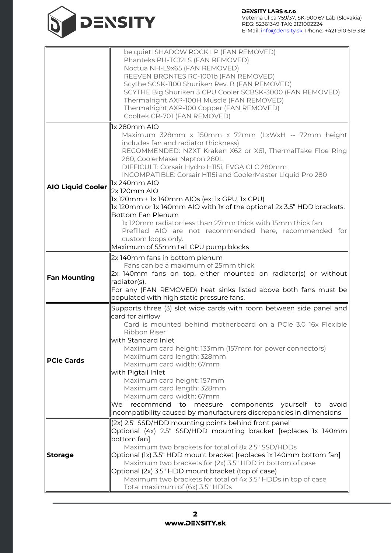

|                          | be quiet! SHADOW ROCK LP (FAN REMOVED)                                                           |
|--------------------------|--------------------------------------------------------------------------------------------------|
|                          | Phanteks PH-TC12LS (FAN REMOVED)                                                                 |
|                          | Noctua NH-L9x65 (FAN REMOVED)                                                                    |
|                          |                                                                                                  |
|                          | REEVEN BRONTES RC-1001b (FAN REMOVED)                                                            |
|                          | Scythe SCSK-1100 Shuriken Rev. B (FAN REMOVED)                                                   |
|                          | SCYTHE Big Shuriken 3 CPU Cooler SCBSK-3000 (FAN REMOVED)                                        |
|                          | Thermalright AXP-100H Muscle (FAN REMOVED)                                                       |
|                          | Thermalright AXP-100 Copper (FAN REMOVED)                                                        |
|                          |                                                                                                  |
|                          | Cooltek CR-701 (FAN REMOVED)                                                                     |
|                          | 1x 280mm AIO                                                                                     |
|                          | Maximum 328mm x 150mm x 72mm (LxWxH -- 72mm height                                               |
|                          | includes fan and radiator thickness)                                                             |
|                          | RECOMMENDED: NZXT Kraken X62 or X61, ThermalTake Floe Ring                                       |
|                          | 280, CoolerMaser Nepton 280L                                                                     |
|                          |                                                                                                  |
|                          | DIFFICULT: Corsair Hydro H115i, EVGA CLC 280mm                                                   |
|                          | INCOMPATIBLE: Corsair H115i and CoolerMaster Liquid Pro 280                                      |
|                          | 1x 240mm AIO                                                                                     |
| <b>AIO Liquid Cooler</b> | 2x120mm AIO                                                                                      |
|                          | 1x 120mm + 1x 140mm AIOs (ex: 1x GPU, 1x CPU)                                                    |
|                          | 1x 120mm or 1x 140mm AIO with 1x of the optional 2x 3.5" HDD brackets.                           |
|                          | <b>Bottom Fan Plenum</b>                                                                         |
|                          |                                                                                                  |
|                          | 1x 120mm radiator less than 27mm thick with 15mm thick fan                                       |
|                          | Prefilled AIO are not recommended here, recommended for                                          |
|                          | custom loops only.                                                                               |
|                          | Maximum of 55mm tall CPU pump blocks                                                             |
|                          | 2x 140mm fans in bottom plenum                                                                   |
|                          | Fans can be a maximum of 25mm thick                                                              |
|                          |                                                                                                  |
| <b>Fan Mounting</b>      | $2x$ 140mm fans on top, either mounted on radiator(s) or without                                 |
|                          | radiator(s).                                                                                     |
|                          | For any (FAN REMOVED) heat sinks listed above both fans must be                                  |
|                          | populated with high static pressure fans.                                                        |
|                          | Supports three (3) slot wide cards with room between side panel and                              |
|                          | card for airflow                                                                                 |
|                          | Card is mounted behind motherboard on a PCIe 3.0 16x Flexible                                    |
|                          | Ribbon Riser                                                                                     |
|                          |                                                                                                  |
|                          | with Standard Inlet                                                                              |
|                          | Maximum card height: 133mm (157mm for power connectors)                                          |
| <b>PCIe Cards</b>        | Maximum card length: 328mm                                                                       |
|                          | Maximum card width: 67mm                                                                         |
|                          | with Pigtail Inlet                                                                               |
|                          | Maximum card height: 157mm                                                                       |
|                          | Maximum card length: 328mm                                                                       |
|                          |                                                                                                  |
|                          |                                                                                                  |
|                          | Maximum card width: 67mm                                                                         |
|                          | recommend<br>We<br>to<br>measure<br>components<br>yourself to<br>avoid                           |
|                          | incompatibility caused by manufacturers discrepancies in dimensions                              |
|                          | (2x) 2.5" SSD/HDD mounting points behind front panel                                             |
|                          | Optional (4x) 2.5" SSD/HDD mounting bracket [replaces 1x 140mm                                   |
|                          |                                                                                                  |
|                          | bottom fan]                                                                                      |
|                          | Maximum two brackets for total of 8x 2.5" SSD/HDDs                                               |
| <b>Storage</b>           | Optional (1x) 3.5" HDD mount bracket [replaces 1x 140mm bottom fan]                              |
|                          | Maximum two brackets for (2x) 3.5" HDD in bottom of case                                         |
|                          | Optional (2x) 3.5" HDD mount bracket (top of case)                                               |
|                          | Maximum two brackets for total of 4x 3.5" HDDs in top of case<br>Total maximum of (6x) 3.5" HDDs |